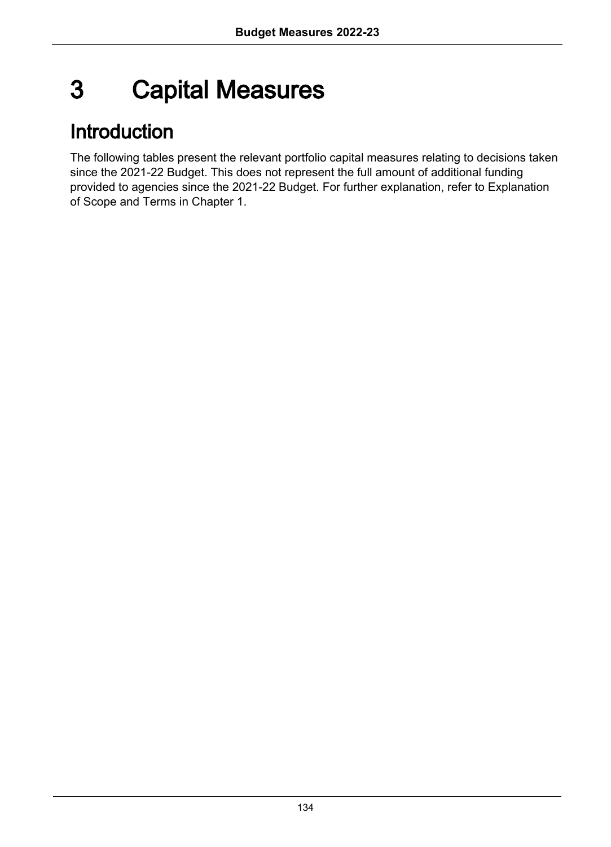# 3 Capital Measures

# Introduction

The following tables present the relevant portfolio capital measures relating to decisions taken since the 2021-22 Budget. This does not represent the full amount of additional funding provided to agencies since the 2021-22 Budget. For further explanation, refer to Explanation of Scope and Terms in Chapter 1.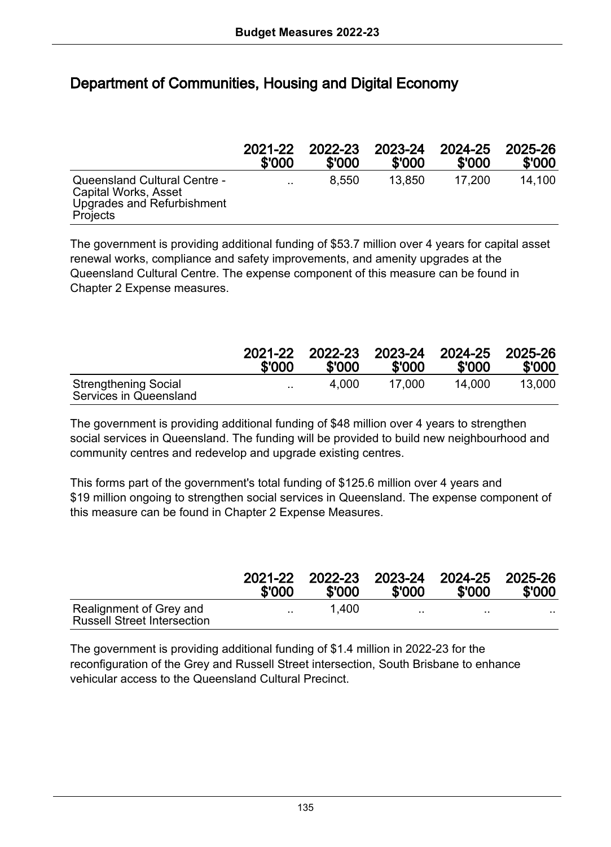# Department of Communities, Housing and Digital Economy

|                                                                                                       | 2021-22   | 2022-23 | 2023-24 | 2024-25 | 2025-26 |
|-------------------------------------------------------------------------------------------------------|-----------|---------|---------|---------|---------|
|                                                                                                       | \$'000    | \$'000  | \$'000  | \$'000  | \$'000  |
| Queensland Cultural Centre -<br>Capital Works, Asset<br><b>Upgrades and Refurbishment</b><br>Projects | $\cdot$ . | 8.550   | 13.850  | 17.200  | 14.100  |

The government is providing additional funding of \$53.7 million over 4 years for capital asset renewal works, compliance and safety improvements, and amenity upgrades at the Queensland Cultural Centre. The expense component of this measure can be found in Chapter 2 Expense measures.

|                                                       | 2021-22   | 2022-23 | 2023-24 | 2024-25 | 2025-26 |
|-------------------------------------------------------|-----------|---------|---------|---------|---------|
|                                                       | \$'000    | \$'000  | \$'000  | \$'000  | \$'000  |
| <b>Strengthening Social</b><br>Services in Queensland | $\ddotsc$ | 4.000   | 17.000  | 14.000  | 13.000  |

The government is providing additional funding of \$48 million over 4 years to strengthen social services in Queensland. The funding will be provided to build new neighbourhood and community centres and redevelop and upgrade existing centres.

This forms part of the government's total funding of \$125.6 million over 4 years and \$19 million ongoing to strengthen social services in Queensland. The expense component of this measure can be found in Chapter 2 Expense Measures.

|                                                               | 2021-22<br>\$'000 | 2022-23<br>\$'000 | \$'000    | 2023-24 2024-25 2025-26<br>\$'000 | \$'000 |
|---------------------------------------------------------------|-------------------|-------------------|-----------|-----------------------------------|--------|
| Realignment of Grey and<br><b>Russell Street Intersection</b> | $\sim$ $\sim$     | 1.400             | $\cdot$ . | $\sim$ $\sim$                     | . .    |

The government is providing additional funding of \$1.4 million in 2022-23 for the reconfiguration of the Grey and Russell Street intersection, South Brisbane to enhance vehicular access to the Queensland Cultural Precinct.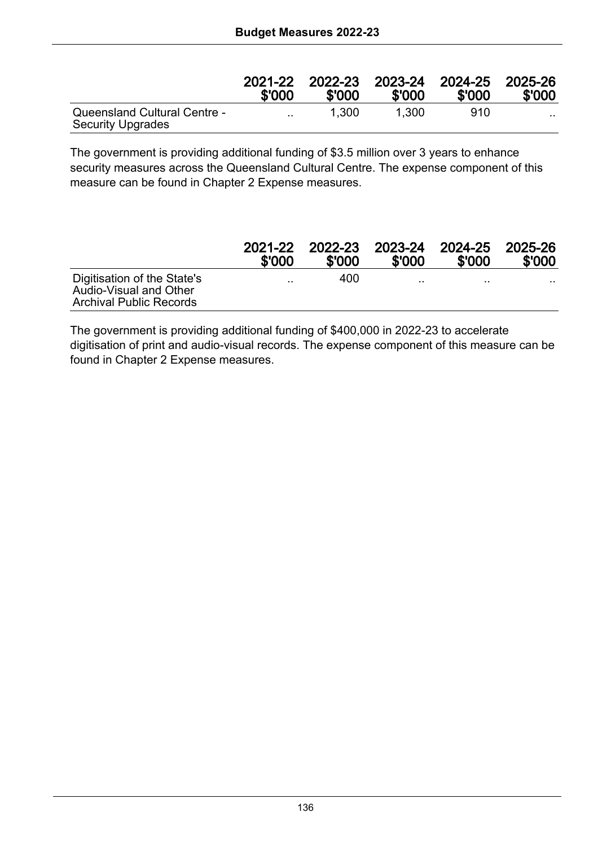|                                                          | 2021-22<br>\$'000 | 2022-23<br>\$'000 | 2023-24 2024-25<br>\$'000 | \$'000 | 2025-26<br>\$'000 |
|----------------------------------------------------------|-------------------|-------------------|---------------------------|--------|-------------------|
| Queensland Cultural Centre -<br><b>Security Upgrades</b> | $\cdot$ .         | 1.300             | 1.300                     | 910    |                   |

The government is providing additional funding of \$3.5 million over 3 years to enhance security measures across the Queensland Cultural Centre. The expense component of this measure can be found in Chapter 2 Expense measures.

|                                                                                         | 2021-22 | 2022-23 | 2023-24 | 2024-25 | 2025-26 |
|-----------------------------------------------------------------------------------------|---------|---------|---------|---------|---------|
|                                                                                         | \$'000  | \$'000  | \$'000  | \$'000  | \$'000  |
| Digitisation of the State's<br>Audio-Visual and Other<br><b>Archival Public Records</b> |         | 400     |         |         | .       |

The government is providing additional funding of \$400,000 in 2022-23 to accelerate digitisation of print and audio-visual records. The expense component of this measure can be found in Chapter 2 Expense measures.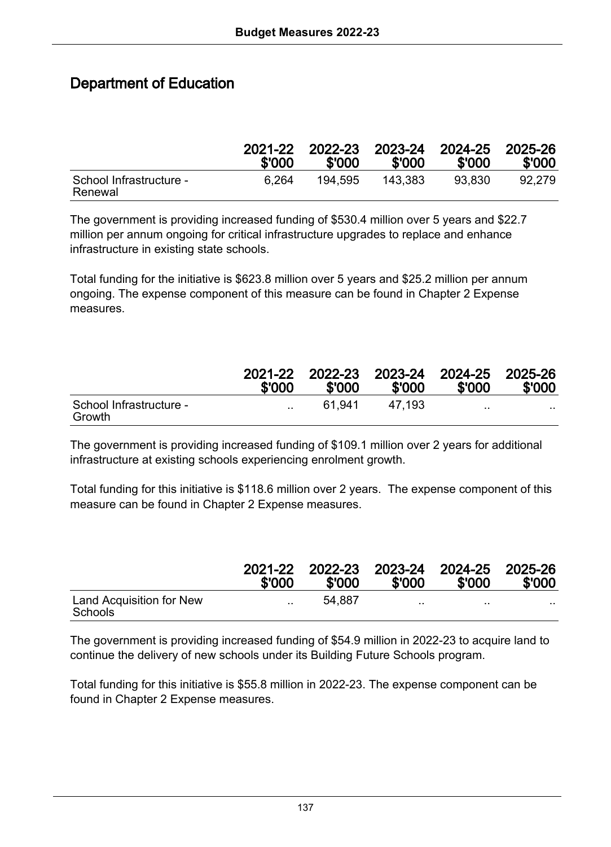# Department of Education

|                                    | 2021-22<br>\$'000 | 2022-23<br>\$'000 | \$'000  | 2023-24 2024-25 2025-26<br>\$'000 | \$'000 |
|------------------------------------|-------------------|-------------------|---------|-----------------------------------|--------|
| School Infrastructure -<br>Renewal | 6.264             | 194.595           | 143.383 | 93.830                            | 92.279 |

The government is providing increased funding of \$530.4 million over 5 years and \$22.7 million per annum ongoing for critical infrastructure upgrades to replace and enhance infrastructure in existing state schools.

Total funding for the initiative is \$623.8 million over 5 years and \$25.2 million per annum ongoing. The expense component of this measure can be found in Chapter 2 Expense measures.

|                                   | 2021-22<br>\$'000 | 2022-23<br>\$'000 | \$'000 | 2023-24 2024-25 2025-26<br>\$'000 | \$'000 |
|-----------------------------------|-------------------|-------------------|--------|-----------------------------------|--------|
| School Infrastructure -<br>Growth | $\cdot$ .         | 61.941            | 47.193 | $\cdots$                          | . .    |

The government is providing increased funding of \$109.1 million over 2 years for additional infrastructure at existing schools experiencing enrolment growth.

Total funding for this initiative is \$118.6 million over 2 years. The expense component of this measure can be found in Chapter 2 Expense measures.

|                                     | 2021-22<br>\$'000    | \$'000 | \$'000    | 2022-23 2023-24 2024-25 2025-26<br>\$'000 | \$'000 |
|-------------------------------------|----------------------|--------|-----------|-------------------------------------------|--------|
| Land Acquisition for New<br>Schools | $\ddot{\phantom{a}}$ | 54.887 | $\cdot$ . | $\cdots$                                  | .      |

The government is providing increased funding of \$54.9 million in 2022-23 to acquire land to continue the delivery of new schools under its Building Future Schools program.

Total funding for this initiative is \$55.8 million in 2022-23. The expense component can be found in Chapter 2 Expense measures.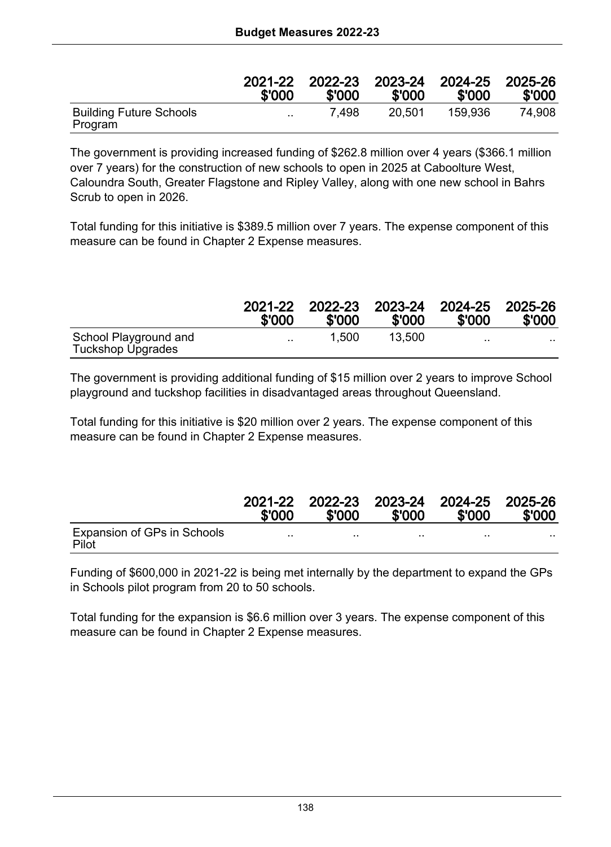|                                           | 2021-22   | 2022-23 | 2023-24 | 2024-25 | 2025-26 |
|-------------------------------------------|-----------|---------|---------|---------|---------|
|                                           | \$'000    | \$'000  | \$'000  | \$'000  | \$'000  |
| <b>Building Future Schools</b><br>Program | $\cdot$ . | 7.498   | 20.501  | 159.936 | 74.908  |

The government is providing increased funding of \$262.8 million over 4 years (\$366.1 million over 7 years) for the construction of new schools to open in 2025 at Caboolture West, Caloundra South, Greater Flagstone and Ripley Valley, along with one new school in Bahrs Scrub to open in 2026.

Total funding for this initiative is \$389.5 million over 7 years. The expense component of this measure can be found in Chapter 2 Expense measures.

|                                            | 2021-22   | 2022-23 | 2023-24 | 2024-25 | 2025-26 |
|--------------------------------------------|-----------|---------|---------|---------|---------|
|                                            | \$'000    | \$'000  | \$'000  | \$'000  | \$'000  |
| School Playground and<br>Tuckshop Upgrades | $\cdot$ . | 1.500   | 13.500  | . .     | .       |

The government is providing additional funding of \$15 million over 2 years to improve School playground and tuckshop facilities in disadvantaged areas throughout Queensland.

Total funding for this initiative is \$20 million over 2 years. The expense component of this measure can be found in Chapter 2 Expense measures.

|                                      | \$'000 | 2021-22 2022-23 2023-24 2024-25 2025-26<br>\$'000 | \$'000 | \$'000   | \$'000 |
|--------------------------------------|--------|---------------------------------------------------|--------|----------|--------|
| Expansion of GPs in Schools<br>Pilot |        |                                                   |        | $\cdots$ | .      |

Funding of \$600,000 in 2021-22 is being met internally by the department to expand the GPs in Schools pilot program from 20 to 50 schools.

Total funding for the expansion is \$6.6 million over 3 years. The expense component of this measure can be found in Chapter 2 Expense measures.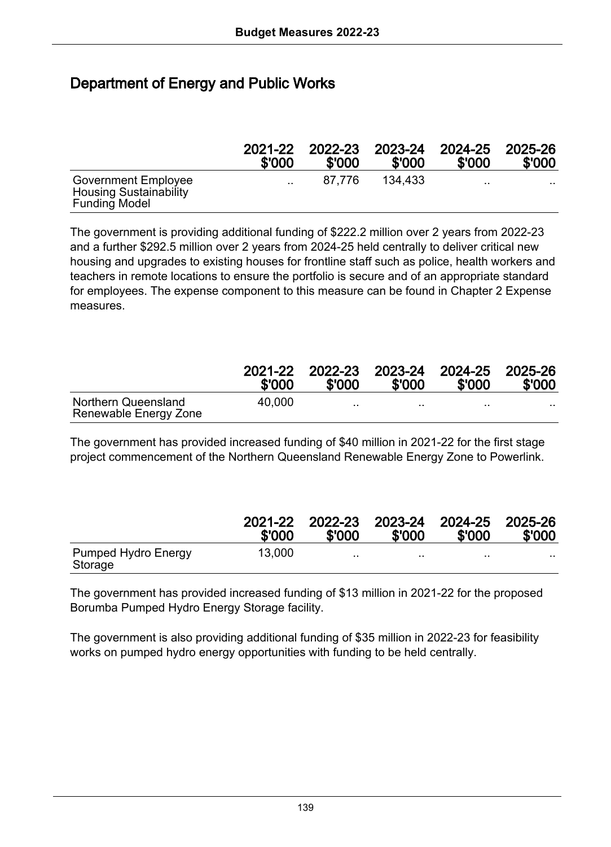# Department of Energy and Public Works

|                                                                              | 2021-22   | 2022-23 | 2023-24 | 2024-25   | 2025-26 |
|------------------------------------------------------------------------------|-----------|---------|---------|-----------|---------|
|                                                                              | \$'000    | \$'000  | \$'000  | \$'000    | \$'000  |
| Government Employee<br><b>Housing Sustainability</b><br><b>Funding Model</b> | $\cdot$ . | 87.776  | 134.433 | $\cdot$ . | .       |

The government is providing additional funding of \$222.2 million over 2 years from 2022-23 and a further \$292.5 million over 2 years from 2024-25 held centrally to deliver critical new housing and upgrades to existing houses for frontline staff such as police, health workers and teachers in remote locations to ensure the portfolio is secure and of an appropriate standard for employees. The expense component to this measure can be found in Chapter 2 Expense measures.

|                                              | 2021-22<br>\$'000 | 2022-23<br>\$'000 | \$'000    | 2023-24 2024-25 2025-26<br>\$'000 | \$'000 |
|----------------------------------------------|-------------------|-------------------|-----------|-----------------------------------|--------|
| Northern Queensland<br>Renewable Energy Zone | 40.000            | $\sim$ $\sim$     | $\cdot$ . | $\sim$                            | . .    |

The government has provided increased funding of \$40 million in 2021-22 for the first stage project commencement of the Northern Queensland Renewable Energy Zone to Powerlink.

|                                       | 2021-22<br>\$'000 | 2022-23<br>\$'000 | \$'000 | 2023-24 2024-25 2025-26<br>\$'000 | \$'000 |
|---------------------------------------|-------------------|-------------------|--------|-----------------------------------|--------|
| <b>Pumped Hydro Energy</b><br>Storage | 13.000            | $\cdot$ .         |        | $\cdot$ .                         | . .    |

The government has provided increased funding of \$13 million in 2021-22 for the proposed Borumba Pumped Hydro Energy Storage facility.

The government is also providing additional funding of \$35 million in 2022-23 for feasibility works on pumped hydro energy opportunities with funding to be held centrally.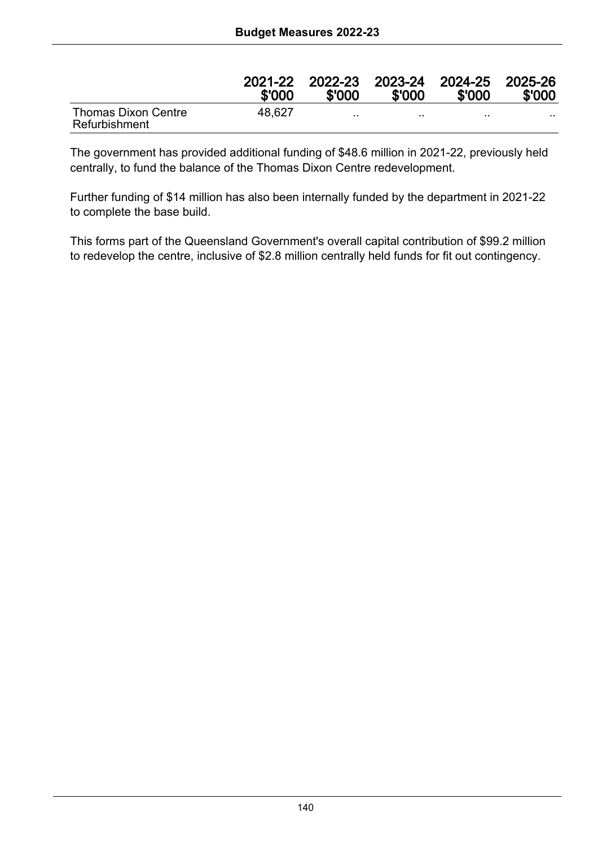|                                      | 2021-22<br>\$'000 | 2022-23 2023-24 2024-25 2025-26<br>\$'000 | \$'000   | \$'000   | \$'000 |
|--------------------------------------|-------------------|-------------------------------------------|----------|----------|--------|
| Thomas Dixon Centre<br>Refurbishment | 48.627            | $\cdot$ .                                 | $\cdots$ | $\cdots$ | . .    |

The government has provided additional funding of \$48.6 million in 2021-22, previously held centrally, to fund the balance of the Thomas Dixon Centre redevelopment.

Further funding of \$14 million has also been internally funded by the department in 2021-22 to complete the base build.

This forms part of the Queensland Government's overall capital contribution of \$99.2 million to redevelop the centre, inclusive of \$2.8 million centrally held funds for fit out contingency.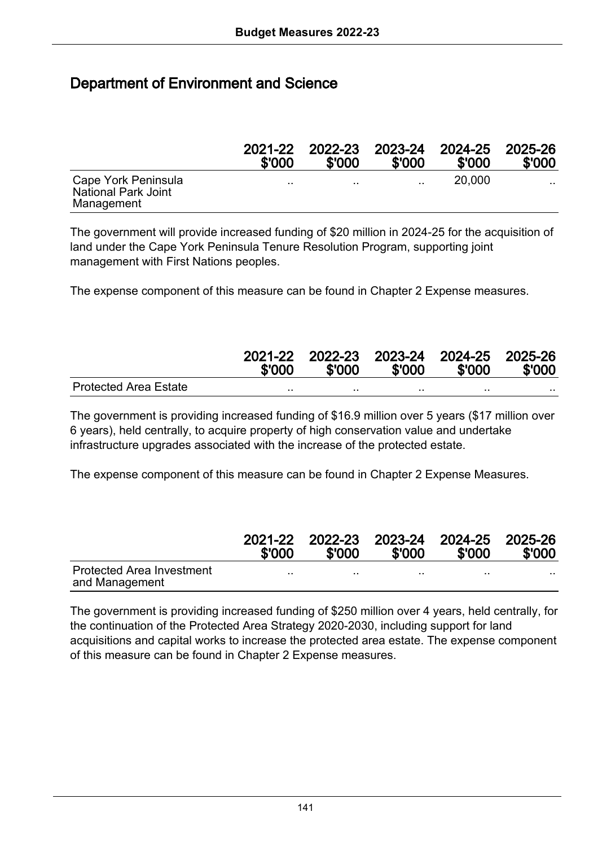#### Department of Environment and Science

|                                                          | 2021-22<br>\$'000 | 2022-23<br>\$'000 | 2023-24 2024-25<br>\$'000 | \$'000 | 2025-26<br>\$'000 |
|----------------------------------------------------------|-------------------|-------------------|---------------------------|--------|-------------------|
| Cape York Peninsula<br>National Park Joint<br>Management |                   | $\cdot$           | $\cdot$ .                 | 20,000 | .                 |

The government will provide increased funding of \$20 million in 2024-25 for the acquisition of land under the Cape York Peninsula Tenure Resolution Program, supporting joint management with First Nations peoples.

The expense component of this measure can be found in Chapter 2 Expense measures.

|                              | \$'000 | 2021-22 2022-23 2023-24 2024-25 2025-26<br>\$'000 | \$'000 | \$'000 | \$'000 |
|------------------------------|--------|---------------------------------------------------|--------|--------|--------|
| <b>Protected Area Estate</b> |        |                                                   |        |        | .      |

The government is providing increased funding of \$16.9 million over 5 years (\$17 million over 6 years), held centrally, to acquire property of high conservation value and undertake infrastructure upgrades associated with the increase of the protected estate.

The expense component of this measure can be found in Chapter 2 Expense Measures.

|                                             | 2021-22<br>\$'000 | 2022-23 2023-24 2024-25 2025-26<br>\$'000 | \$'000 | \$'000 | \$'000 |
|---------------------------------------------|-------------------|-------------------------------------------|--------|--------|--------|
| Protected Area Investment<br>and Management |                   |                                           |        |        | .      |

The government is providing increased funding of \$250 million over 4 years, held centrally, for the continuation of the Protected Area Strategy 2020-2030, including support for land acquisitions and capital works to increase the protected area estate. The expense component of this measure can be found in Chapter 2 Expense measures.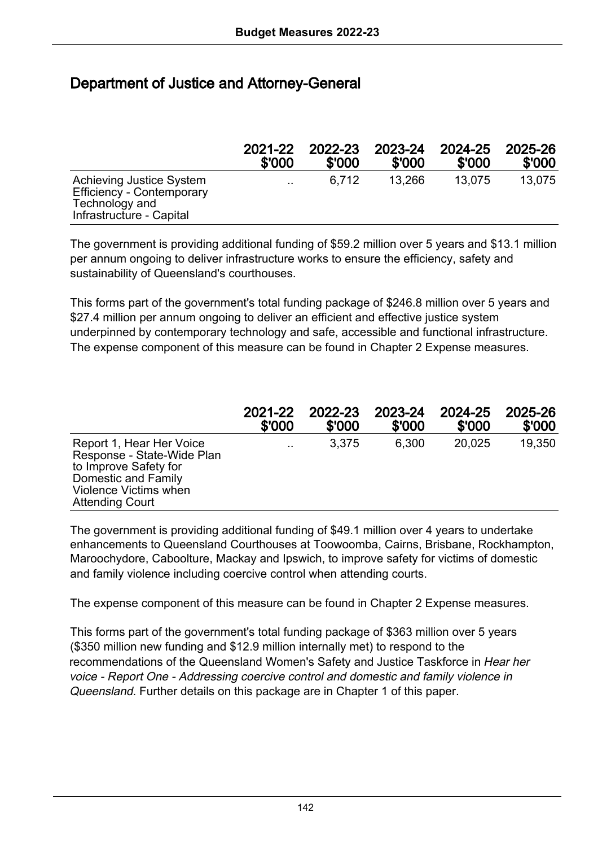## Department of Justice and Attorney-General

|                                                                                                     | 2021-22   | 2022-23 | 2023-24 | 2024-25 | 2025-26 |
|-----------------------------------------------------------------------------------------------------|-----------|---------|---------|---------|---------|
|                                                                                                     | \$'000    | \$'000  | \$'000  | \$'000  | \$'000  |
| Achieving Justice System<br>Efficiency - Contemporary<br>Technology and<br>Infrastructure - Capital | $\cdot$ . | 6.712   | 13.266  | 13.075  | 13.075  |

The government is providing additional funding of \$59.2 million over 5 years and \$13.1 million per annum ongoing to deliver infrastructure works to ensure the efficiency, safety and sustainability of Queensland's courthouses.

This forms part of the government's total funding package of \$246.8 million over 5 years and \$27.4 million per annum ongoing to deliver an efficient and effective justice system underpinned by contemporary technology and safe, accessible and functional infrastructure. The expense component of this measure can be found in Chapter 2 Expense measures.

|                                                                                                                                                           | 2021-22   | 2022-23 | 2023-24 | 2024-25 | 2025-26 |
|-----------------------------------------------------------------------------------------------------------------------------------------------------------|-----------|---------|---------|---------|---------|
|                                                                                                                                                           | \$'000    | \$'000  | \$'000  | \$'000  | \$'000  |
| Report 1, Hear Her Voice<br>Response - State-Wide Plan<br>to Improve Safety for<br>Domestic and Family<br>Violence Victims when<br><b>Attending Court</b> | $\cdot$ . | 3.375   | 6.300   | 20.025  | 19,350  |

The government is providing additional funding of \$49.1 million over 4 years to undertake enhancements to Queensland Courthouses at Toowoomba, Cairns, Brisbane, Rockhampton, Maroochydore, Caboolture, Mackay and Ipswich, to improve safety for victims of domestic and family violence including coercive control when attending courts.

The expense component of this measure can be found in Chapter 2 Expense measures.

This forms part of the government's total funding package of \$363 million over 5 years (\$350 million new funding and \$12.9 million internally met) to respond to the recommendations of the Queensland Women's Safety and Justice Taskforce in Hear her voice - Report One - Addressing coercive control and domestic and family violence in Queensland. Further details on this package are in Chapter 1 of this paper.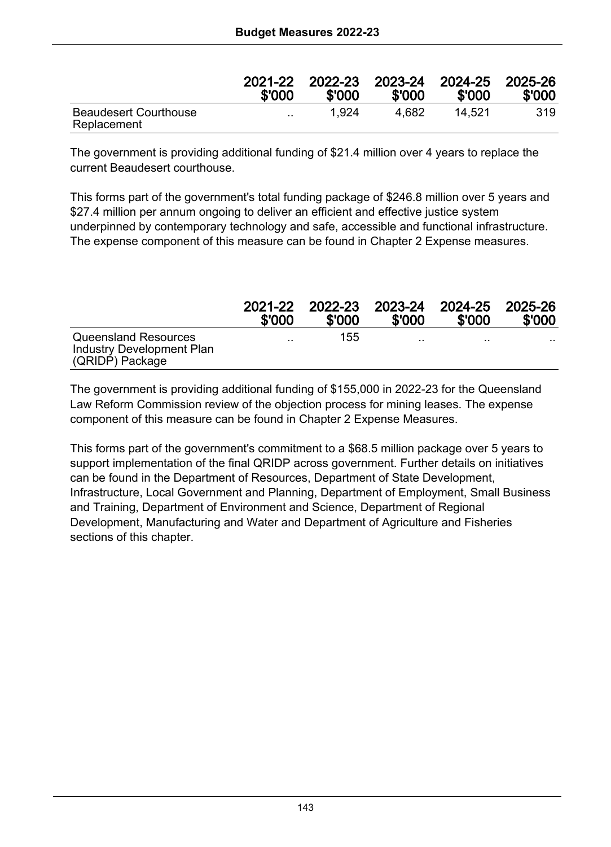|                                             | 2021-22   | 2022-23 | 2023-24 | 2024-25 | 2025-26 |
|---------------------------------------------|-----------|---------|---------|---------|---------|
|                                             | \$'000    | \$'000  | \$'000  | \$'000  | \$'000  |
| <b>Beaudesert Courthouse</b><br>Replacement | $\cdot$ . | 1.924   | 4.682   | 14.521  | 319     |

The government is providing additional funding of \$21.4 million over 4 years to replace the current Beaudesert courthouse.

This forms part of the government's total funding package of \$246.8 million over 5 years and \$27.4 million per annum ongoing to deliver an efficient and effective justice system underpinned by contemporary technology and safe, accessible and functional infrastructure. The expense component of this measure can be found in Chapter 2 Expense measures.

|                                                                      | 2021-22   | 2022-23 | 2023-24   | 2024-25   | 2025-26 |
|----------------------------------------------------------------------|-----------|---------|-----------|-----------|---------|
|                                                                      | \$'000    | \$'000  | \$'000    | \$'000    | \$'000  |
| Queensland Resources<br>Industry Development Plan<br>(QRIDP) Package | $\cdot$ . | 155     | $\cdot$ . | $\cdot$ . | .       |

The government is providing additional funding of \$155,000 in 2022-23 for the Queensland Law Reform Commission review of the objection process for mining leases. The expense component of this measure can be found in Chapter 2 Expense Measures.

This forms part of the government's commitment to a \$68.5 million package over 5 years to support implementation of the final QRIDP across government. Further details on initiatives can be found in the Department of Resources, Department of State Development, Infrastructure, Local Government and Planning, Department of Employment, Small Business and Training, Department of Environment and Science, Department of Regional Development, Manufacturing and Water and Department of Agriculture and Fisheries sections of this chapter.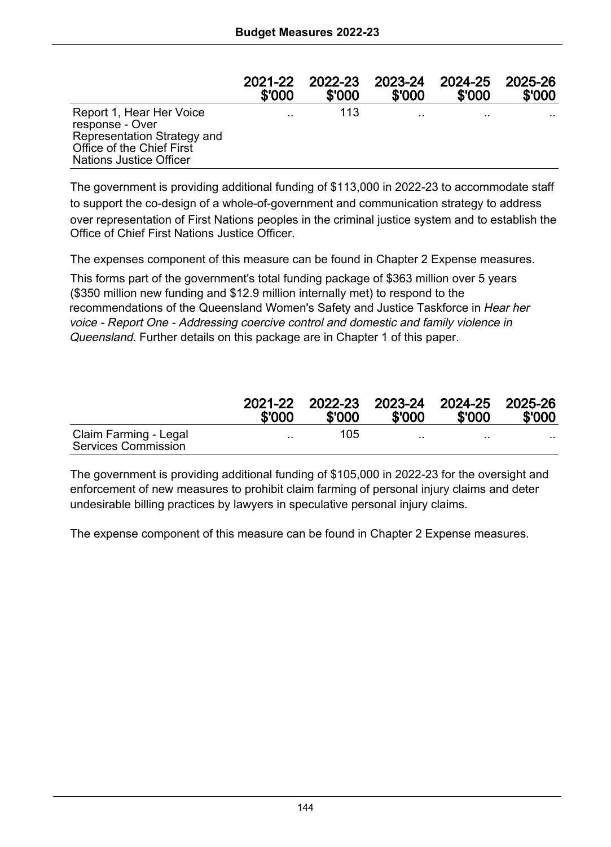|                                                                                                                                           | 2021-22   | 2022-23 | 2023-24   | 2024-25   | 2025-26   |
|-------------------------------------------------------------------------------------------------------------------------------------------|-----------|---------|-----------|-----------|-----------|
|                                                                                                                                           | \$'000    | \$'000  | \$'000    | \$'000    | \$'000    |
| Report 1, Hear Her Voice<br>response - Over<br>Representation Strategy and<br>Office of the Chief First<br><b>Nations Justice Officer</b> | $\cdot$ . | 113     | $\cdot$ . | $\ddotsc$ | $\cdot$ . |

The government is providing additional funding of \$113,000 in 2022-23 to accommodate staff to support the co-design of a whole-of-government and communication strategy to address over representation of First Nations peoples in the criminal justice system and to establish the Office of Chief First Nations Justice Officer.

The expenses component of this measure can be found in Chapter 2 Expense measures.

This forms part of the government's total funding package of \$363 million over 5 years (\$350 million new funding and \$12.9 million internally met) to respond to the recommendations of the Queensland Women's Safety and Justice Taskforce in Hear her voice - Report One - Addressing coercive control and domestic and family violence in Queensland. Further details on this package are in Chapter 1 of this paper.

|                                              | \$'000    | \$'000 | \$'000   | 2021-22 2022-23 2023-24 2024-25 2025-26<br>\$'000 | \$'000 |
|----------------------------------------------|-----------|--------|----------|---------------------------------------------------|--------|
| Claim Farming - Legal<br>Services Commission | $\cdot$ . | 105    | $\cdots$ | $\cdots$                                          | . .    |

The government is providing additional funding of \$105,000 in 2022-23 for the oversight and enforcement of new measures to prohibit claim farming of personal injury claims and deter undesirable billing practices by lawyers in speculative personal injury claims.

The expense component of this measure can be found in Chapter 2 Expense measures.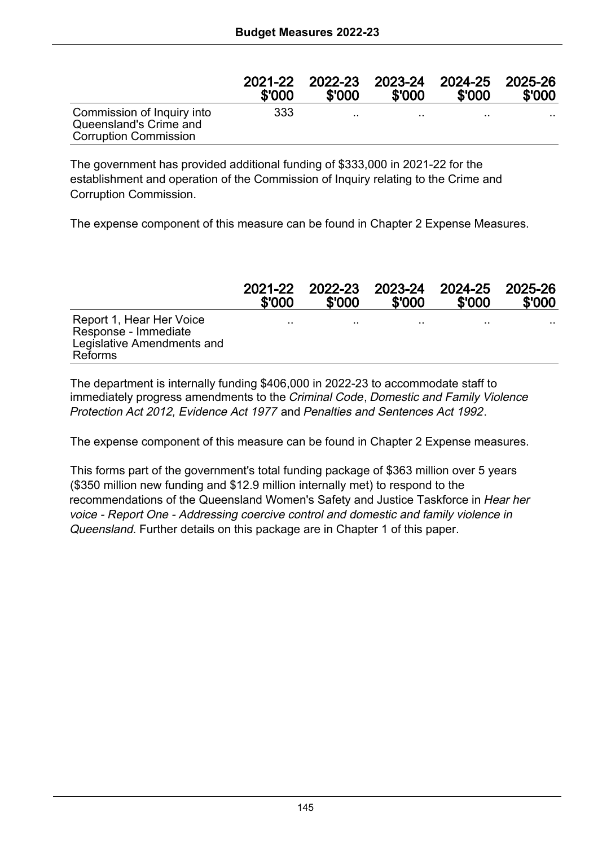|                                                                                      | 2021-22 | 2022-23   | 2023-24 | 2024-25 | 2025-26 |
|--------------------------------------------------------------------------------------|---------|-----------|---------|---------|---------|
|                                                                                      | \$'000  | \$'000    | \$'000  | \$'000  | \$'000  |
| Commission of Inquiry into<br>Queensland's Crime and<br><b>Corruption Commission</b> | 333     | $\cdot$ . |         | . .     |         |

The government has provided additional funding of \$333,000 in 2021-22 for the establishment and operation of the Commission of Inquiry relating to the Crime and Corruption Commission.

The expense component of this measure can be found in Chapter 2 Expense Measures.

|                                                                                           | 2021-22 | 2022-23 | 2023-24 | 2024-25 | 2025-26 |
|-------------------------------------------------------------------------------------------|---------|---------|---------|---------|---------|
|                                                                                           | \$'000  | \$'000  | \$'000  | \$'000  | \$'000  |
| Report 1, Hear Her Voice<br>Response - Immediate<br>Legislative Amendments and<br>Reforms |         |         |         |         |         |

The department is internally funding \$406,000 in 2022-23 to accommodate staff to immediately progress amendments to the Criminal Code, Domestic and Family Violence Protection Act 2012, Evidence Act 1977 and Penalties and Sentences Act 1992.

The expense component of this measure can be found in Chapter 2 Expense measures.

This forms part of the government's total funding package of \$363 million over 5 years (\$350 million new funding and \$12.9 million internally met) to respond to the recommendations of the Queensland Women's Safety and Justice Taskforce in Hear her voice - Report One - Addressing coercive control and domestic and family violence in Queensland. Further details on this package are in Chapter 1 of this paper.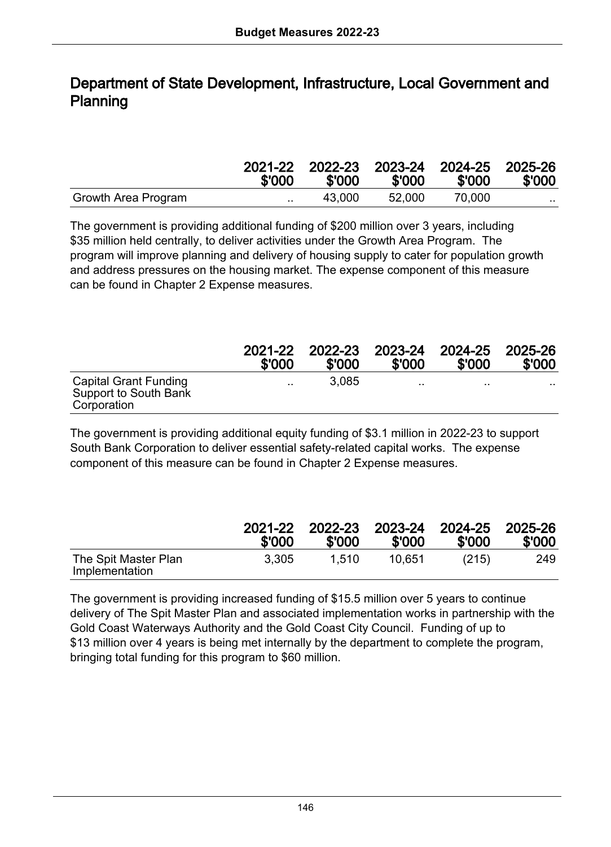#### Department of State Development, Infrastructure, Local Government and Planning

|                     | \$'000        | \$'000 | \$'000 | 2021-22 2022-23 2023-24 2024-25 2025-26<br>\$'000 | \$'000 |
|---------------------|---------------|--------|--------|---------------------------------------------------|--------|
| Growth Area Program | $\sim$ $\sim$ | 43.000 | 52.000 | 70.000                                            |        |

The government is providing additional funding of \$200 million over 3 years, including \$35 million held centrally, to deliver activities under the Growth Area Program. The program will improve planning and delivery of housing supply to cater for population growth and address pressures on the housing market. The expense component of this measure can be found in Chapter 2 Expense measures.

|                                                               | 2021-22   | 2022-23 | 2023-24 | 2024-25 | 2025-26 |
|---------------------------------------------------------------|-----------|---------|---------|---------|---------|
|                                                               | \$'000    | \$'000  | \$'000  | \$'000  | \$'000  |
| Capital Grant Funding<br>Support to South Bank<br>Corporation | $\cdot$ . | 3.085   | $\cdot$ | $\cdot$ | $\sim$  |

The government is providing additional equity funding of \$3.1 million in 2022-23 to support South Bank Corporation to deliver essential safety-related capital works. The expense component of this measure can be found in Chapter 2 Expense measures.

|                                        | 2021-22<br>\$'000 | \$'000 | 2022-23 2023-24<br>\$'000 | 2024-25 2025-26<br>\$'000 | \$'000 |
|----------------------------------------|-------------------|--------|---------------------------|---------------------------|--------|
| The Spit Master Plan<br>Implementation | 3.305             | 1.510  | 10.651                    | (215)                     | 249    |

The government is providing increased funding of \$15.5 million over 5 years to continue delivery of The Spit Master Plan and associated implementation works in partnership with the Gold Coast Waterways Authority and the Gold Coast City Council. Funding of up to \$13 million over 4 years is being met internally by the department to complete the program, bringing total funding for this program to \$60 million.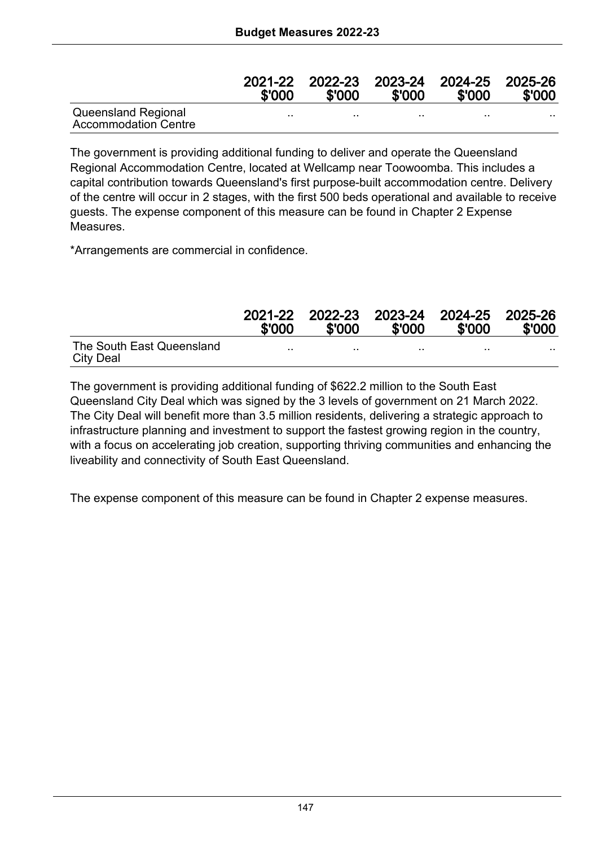|                                                    | 2021-22<br>\$'000 | 2022-23<br>\$'000 | \$'000  | 2023-24 2024-25 2025-26<br>\$'000 | \$'000 |
|----------------------------------------------------|-------------------|-------------------|---------|-----------------------------------|--------|
| Queensland Regional<br><b>Accommodation Centre</b> |                   | $\cdots$          | $\cdot$ | $\cdots$                          | .      |

The government is providing additional funding to deliver and operate the Queensland Regional Accommodation Centre, located at Wellcamp near Toowoomba. This includes a capital contribution towards Queensland's first purpose-built accommodation centre. Delivery of the centre will occur in 2 stages, with the first 500 beds operational and available to receive guests. The expense component of this measure can be found in Chapter 2 Expense Measures.

\*Arrangements are commercial in confidence.

|                                        | 2021-22<br>\$'000 | \$'000 | \$'000 | 2022-23 2023-24 2024-25 2025-26<br>\$'000 | \$'000 |
|----------------------------------------|-------------------|--------|--------|-------------------------------------------|--------|
| The South East Queensland<br>City Deal |                   |        |        | . .                                       |        |

The government is providing additional funding of \$622.2 million to the South East Queensland City Deal which was signed by the 3 levels of government on 21 March 2022. The City Deal will benefit more than 3.5 million residents, delivering a strategic approach to infrastructure planning and investment to support the fastest growing region in the country, with a focus on accelerating job creation, supporting thriving communities and enhancing the liveability and connectivity of South East Queensland.

The expense component of this measure can be found in Chapter 2 expense measures.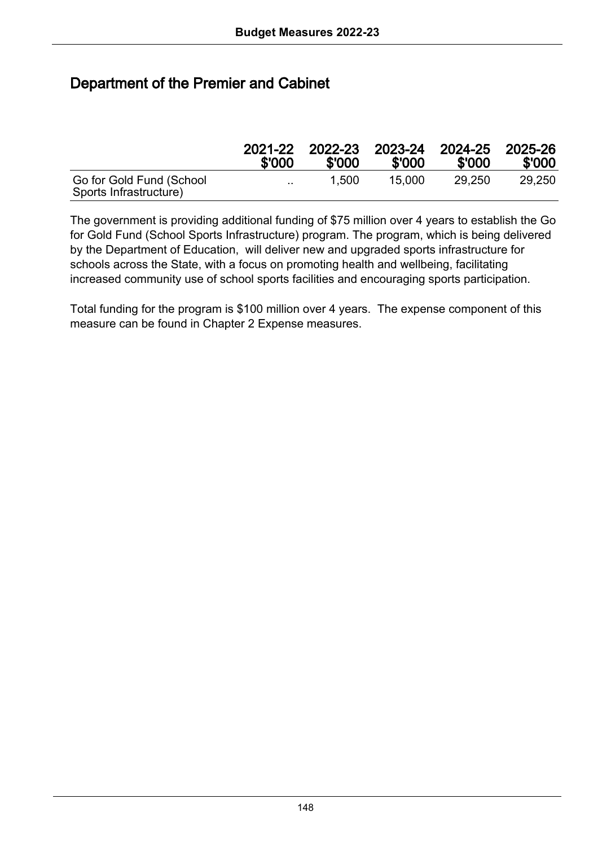# Department of the Premier and Cabinet

|                                                    | 2021-22<br>\$'000 | 2022-23<br>\$'000 | \$'000 | 2023-24 2024-25 2025-26<br>\$'000 | \$'000 |
|----------------------------------------------------|-------------------|-------------------|--------|-----------------------------------|--------|
| Go for Gold Fund (School<br>Sports Infrastructure) | $\sim$            | 1.500             | 15.000 | 29.250                            | 29.250 |

The government is providing additional funding of \$75 million over 4 years to establish the Go for Gold Fund (School Sports Infrastructure) program. The program, which is being delivered by the Department of Education, will deliver new and upgraded sports infrastructure for schools across the State, with a focus on promoting health and wellbeing, facilitating increased community use of school sports facilities and encouraging sports participation.

Total funding for the program is \$100 million over 4 years. The expense component of this measure can be found in Chapter 2 Expense measures.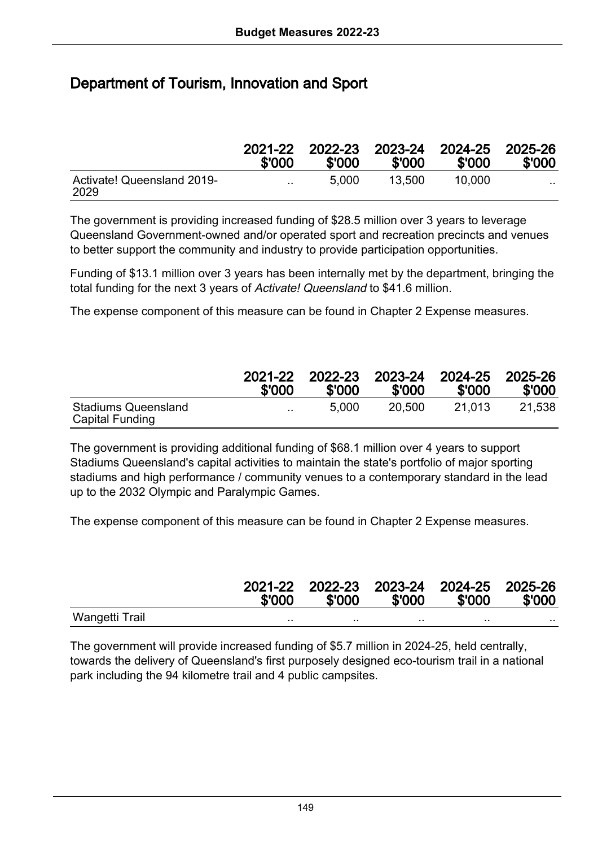# Department of Tourism, Innovation and Sport

|                                    | 2021-22<br>\$'000 | 2022-23<br>\$'000 | \$'000 | 2023-24 2024-25 2025-26<br>\$'000 | \$'000   |
|------------------------------------|-------------------|-------------------|--------|-----------------------------------|----------|
| Activate! Queensland 2019-<br>2029 | $\cdot$ .         | 5.000             | 13.500 | 10.000                            | $\cdots$ |

The government is providing increased funding of \$28.5 million over 3 years to leverage Queensland Government-owned and/or operated sport and recreation precincts and venues to better support the community and industry to provide participation opportunities.

Funding of \$13.1 million over 3 years has been internally met by the department, bringing the total funding for the next 3 years of Activate! Queensland to \$41.6 million.

The expense component of this measure can be found in Chapter 2 Expense measures.

|                                               | 2021-22   | 2022-23 | 2023-24 | 2024-25 | 2025-26 |
|-----------------------------------------------|-----------|---------|---------|---------|---------|
|                                               | \$'000    | \$'000  | \$'000  | \$'000  | \$'000  |
| <b>Stadiums Queensland</b><br>Capital Funding | $\cdot$ . | 5.000   | 20.500  | 21.013  | 21.538  |

The government is providing additional funding of \$68.1 million over 4 years to support Stadiums Queensland's capital activities to maintain the state's portfolio of major sporting stadiums and high performance / community venues to a contemporary standard in the lead up to the 2032 Olympic and Paralympic Games.

The expense component of this measure can be found in Chapter 2 Expense measures.

|                | \$'000 | 2021-22 2022-23 2023-24 2024-25 2025-26<br>\$'000 | \$'000 | \$'000  | \$'000 |
|----------------|--------|---------------------------------------------------|--------|---------|--------|
| Wangetti Trail |        | $\cdots$                                          |        | $\cdot$ |        |

The government will provide increased funding of \$5.7 million in 2024-25, held centrally, towards the delivery of Queensland's first purposely designed eco-tourism trail in a national park including the 94 kilometre trail and 4 public campsites.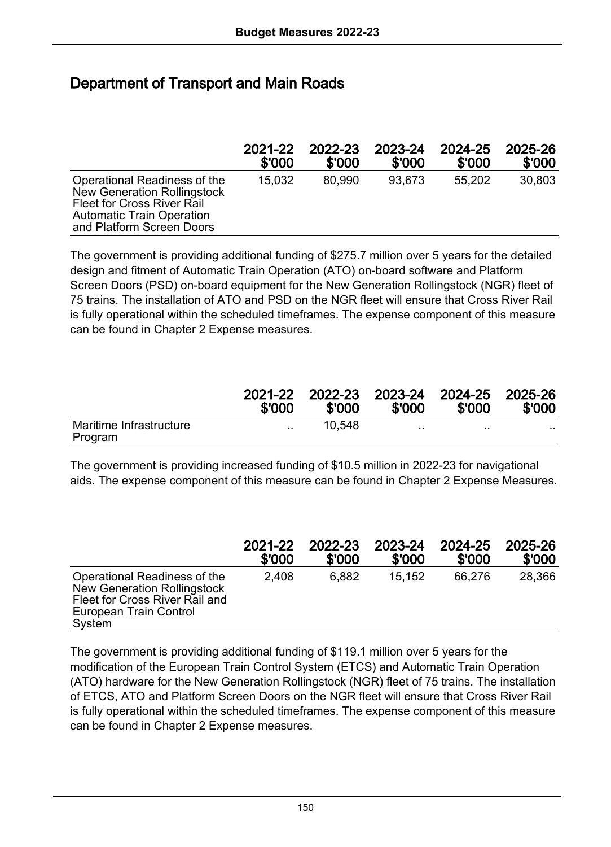#### Department of Transport and Main Roads

|                                                                                                                                                            | 2021-22 | 2022-23 | 2023-24 | 2024-25 | 2025-26 |
|------------------------------------------------------------------------------------------------------------------------------------------------------------|---------|---------|---------|---------|---------|
|                                                                                                                                                            | \$'000  | \$'000  | \$'000  | \$'000  | \$'000  |
| Operational Readiness of the<br>New Generation Rollingstock<br>Fleet for Cross River Rail<br><b>Automatic Train Operation</b><br>and Platform Screen Doors | 15.032  | 80.990  | 93.673  | 55.202  | 30,803  |

The government is providing additional funding of \$275.7 million over 5 years for the detailed design and fitment of Automatic Train Operation (ATO) on-board software and Platform Screen Doors (PSD) on-board equipment for the New Generation Rollingstock (NGR) fleet of 75 trains. The installation of ATO and PSD on the NGR fleet will ensure that Cross River Rail is fully operational within the scheduled timeframes. The expense component of this measure can be found in Chapter 2 Expense measures.

|                                    | 2021-22<br>\$'000 | 2022-23<br>\$'000 | \$'000    | 2023-24 2024-25 2025-26<br>\$'000 | \$'000 |
|------------------------------------|-------------------|-------------------|-----------|-----------------------------------|--------|
| Maritime Infrastructure<br>Program | $\sim$ $\sim$     | 10.548            | $\cdot$ . | $\cdot$ .                         | .      |

The government is providing increased funding of \$10.5 million in 2022-23 for navigational aids. The expense component of this measure can be found in Chapter 2 Expense Measures.

|                                                                                                                                   | 2021-22 | 2022-23 | 2023-24 | 2024-25 | 2025-26 |
|-----------------------------------------------------------------------------------------------------------------------------------|---------|---------|---------|---------|---------|
|                                                                                                                                   | \$'000  | \$'000  | \$'000  | \$'000  | \$'000  |
| Operational Readiness of the<br>New Generation Rollingstock<br>Fleet for Cross River Rail and<br>European Train Control<br>System | 2.408   | 6.882   | 15.152  | 66.276  | 28,366  |

The government is providing additional funding of \$119.1 million over 5 years for the modification of the European Train Control System (ETCS) and Automatic Train Operation (ATO) hardware for the New Generation Rollingstock (NGR) fleet of 75 trains. The installation of ETCS, ATO and Platform Screen Doors on the NGR fleet will ensure that Cross River Rail is fully operational within the scheduled timeframes. The expense component of this measure can be found in Chapter 2 Expense measures.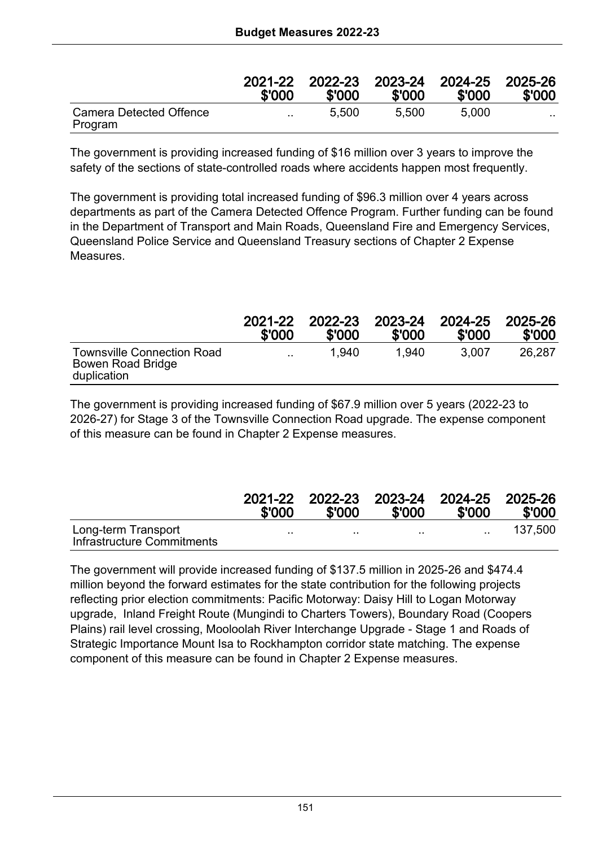|                                    | 2021-22<br>\$'000 | 2022-23<br>\$'000 | 2023-24 2024-25<br>\$'000 | \$'000 | 2025-26<br>\$'000 |
|------------------------------------|-------------------|-------------------|---------------------------|--------|-------------------|
| Camera Detected Offence<br>Program | $\ddotsc$         | 5.500             | 5.500                     | 5.000  | $\cdots$          |

The government is providing increased funding of \$16 million over 3 years to improve the safety of the sections of state-controlled roads where accidents happen most frequently.

The government is providing total increased funding of \$96.3 million over 4 years across departments as part of the Camera Detected Offence Program. Further funding can be found in the Department of Transport and Main Roads, Queensland Fire and Emergency Services, Queensland Police Service and Queensland Treasury sections of Chapter 2 Expense Measures.

|                                                                | 2021-22   | 2022-23 | 2023-24 | 2024-25 | 2025-26 |
|----------------------------------------------------------------|-----------|---------|---------|---------|---------|
|                                                                | \$'000    | \$'000  | \$'000  | \$'000  | \$'000  |
| Townsville Connection Road<br>Bowen Road Bridge<br>duplication | $\cdot$ . | 1.940   | 1.940   | 3.007   | 26.287  |

The government is providing increased funding of \$67.9 million over 5 years (2022-23 to 2026-27) for Stage 3 of the Townsville Connection Road upgrade. The expense component of this measure can be found in Chapter 2 Expense measures.

|                                                   | 2021-22<br>\$'000 | \$'000 | 2022-23 2023-24 2024-25 2025-26<br>\$'000 | \$'000        | \$'000  |
|---------------------------------------------------|-------------------|--------|-------------------------------------------|---------------|---------|
| Long-term Transport<br>Infrastructure Commitments | . .               | . .    | $\cdots$                                  | $\sim$ $\sim$ | 137.500 |

The government will provide increased funding of \$137.5 million in 2025-26 and \$474.4 million beyond the forward estimates for the state contribution for the following projects reflecting prior election commitments: Pacific Motorway: Daisy Hill to Logan Motorway upgrade, Inland Freight Route (Mungindi to Charters Towers), Boundary Road (Coopers Plains) rail level crossing, Mooloolah River Interchange Upgrade - Stage 1 and Roads of Strategic Importance Mount Isa to Rockhampton corridor state matching. The expense component of this measure can be found in Chapter 2 Expense measures.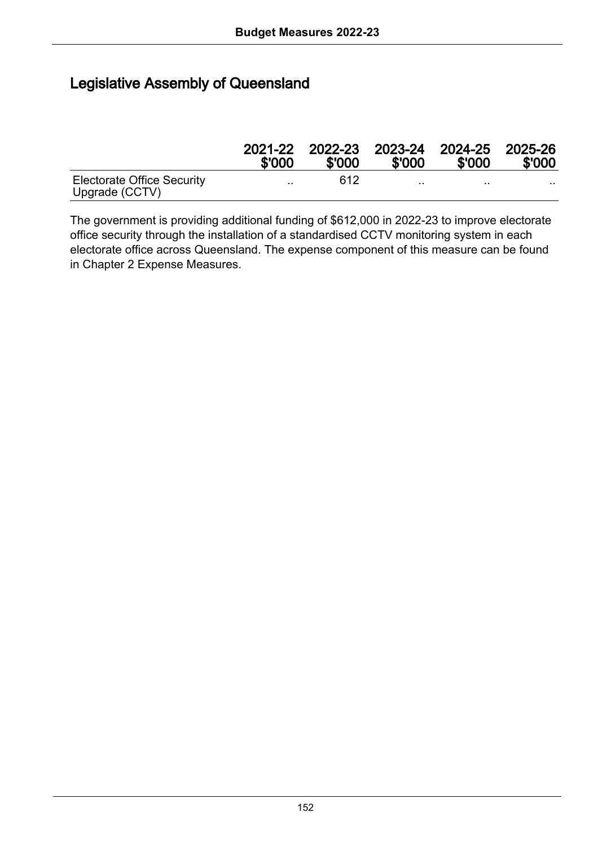#### Legislative Assembly of Queensland

|                                              | 2021-22<br>\$'000    | \$'000 | \$'000    | 2022-23 2023-24 2024-25 2025-26<br>\$'000 | \$'000 |
|----------------------------------------------|----------------------|--------|-----------|-------------------------------------------|--------|
| Electorate Office Security<br>Upgrade (CCTV) | $\ddot{\phantom{a}}$ | 612    | $\cdot$ . | . .                                       | .      |

The government is providing additional funding of \$612,000 in 2022-23 to improve electorate office security through the installation of a standardised CCTV monitoring system in each electorate office across Queensland. The expense component of this measure can be found in Chapter 2 Expense Measures.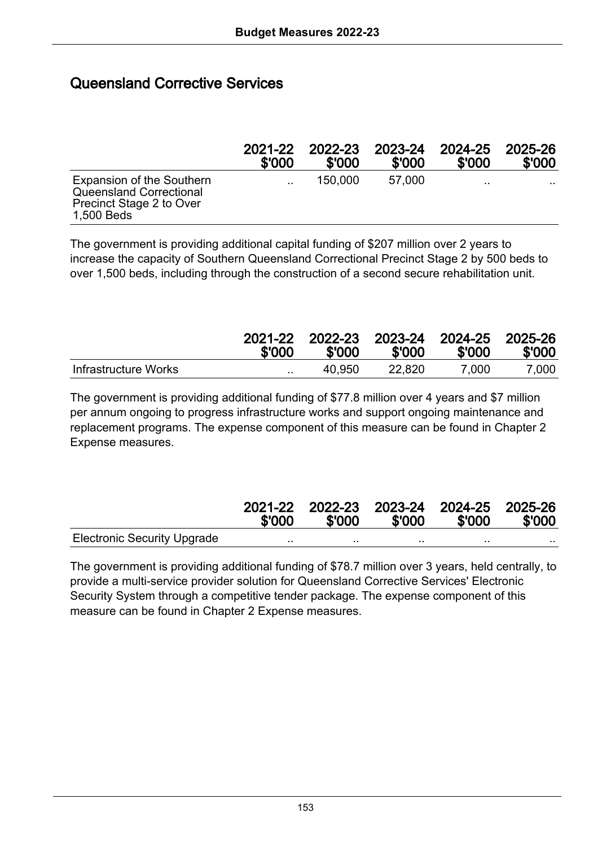#### Queensland Corrective Services

|                                                                                                | 2021-22   | 2022-23 | 2023-24 | 2024-25 | 2025-26 |
|------------------------------------------------------------------------------------------------|-----------|---------|---------|---------|---------|
|                                                                                                | \$'000    | \$'000  | \$'000  | \$'000  | \$'000  |
| Expansion of the Southern<br>Queensland Correctional<br>Precinct Stage 2 to Over<br>1.500 Beds | $\cdot$ . | 150,000 | 57.000  |         | .       |

The government is providing additional capital funding of \$207 million over 2 years to increase the capacity of Southern Queensland Correctional Precinct Stage 2 by 500 beds to over 1,500 beds, including through the construction of a second secure rehabilitation unit.

|                      | 2021-22<br>\$'000 | \$'000 | \$'000 | 2022-23 2023-24 2024-25 2025-26<br>\$'000 | \$'000 |
|----------------------|-------------------|--------|--------|-------------------------------------------|--------|
| Infrastructure Works | $\cdot$ .         | 40.950 | 22.820 | 7.000                                     | 7.000  |

The government is providing additional funding of \$77.8 million over 4 years and \$7 million per annum ongoing to progress infrastructure works and support ongoing maintenance and replacement programs. The expense component of this measure can be found in Chapter 2 Expense measures.

|                                    | \$'000 | 2021-22 2022-23 2023-24 2024-25 2025-26<br>\$'000 | \$'000   | \$'000   | \$'000 |
|------------------------------------|--------|---------------------------------------------------|----------|----------|--------|
| <b>Electronic Security Upgrade</b> |        |                                                   | $\cdots$ | $\cdots$ | .      |

The government is providing additional funding of \$78.7 million over 3 years, held centrally, to provide a multi-service provider solution for Queensland Corrective Services' Electronic Security System through a competitive tender package. The expense component of this measure can be found in Chapter 2 Expense measures.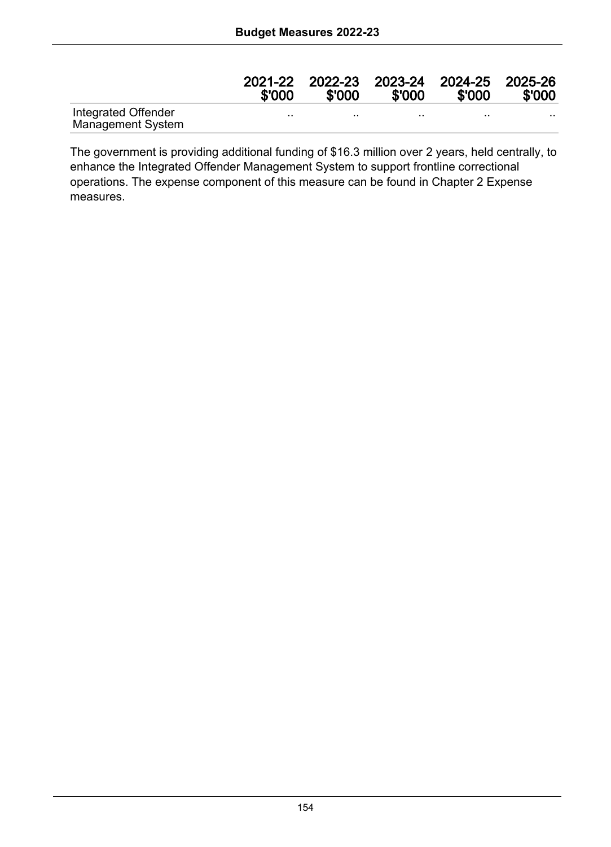|                                                 | 2021-22<br>\$'000 | 2022-23<br>\$'000 | \$'000   | 2023-24 2024-25<br>\$'000 | 2025-26<br>\$'000 |
|-------------------------------------------------|-------------------|-------------------|----------|---------------------------|-------------------|
| Integrated Offender<br><b>Management System</b> |                   | $\cdot$           | $\cdots$ | $\cdots$                  |                   |

The government is providing additional funding of \$16.3 million over 2 years, held centrally, to enhance the Integrated Offender Management System to support frontline correctional operations. The expense component of this measure can be found in Chapter 2 Expense measures.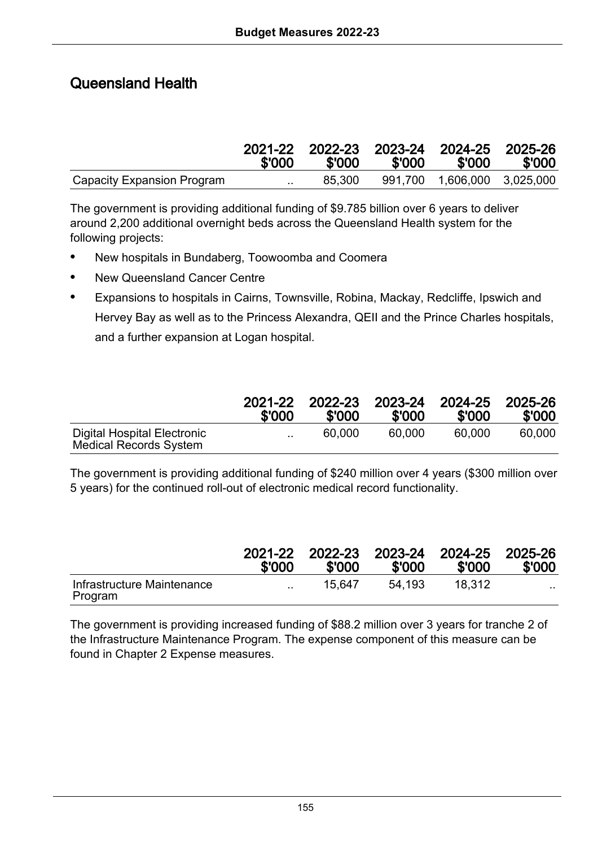# Queensland Health

|                            | \$'000    | 2021-22 2022-23 2023-24 2024-25 2025-26<br>\$'000 | \$'000 | \$'000                        | \$'000 |
|----------------------------|-----------|---------------------------------------------------|--------|-------------------------------|--------|
| Capacity Expansion Program | $\cdot$ . | 85.300                                            |        | 991.700  1.606.000  3.025.000 |        |

The government is providing additional funding of \$9.785 billion over 6 years to deliver around 2,200 additional overnight beds across the Queensland Health system for the following projects:

- New hospitals in Bundaberg, Toowoomba and Coomera
- New Queensland Cancer Centre
- Expansions to hospitals in Cairns, Townsville, Robina, Mackay, Redcliffe, Ipswich and Hervey Bay as well as to the Princess Alexandra, QEII and the Prince Charles hospitals, and a further expansion at Logan hospital.

|                                                       | 2021-22   | 2022-23 | 2023-24 | 2024-25 | 2025-26 |
|-------------------------------------------------------|-----------|---------|---------|---------|---------|
|                                                       | \$'000    | \$'000  | \$'000  | \$'000  | \$'000  |
| Digital Hospital Electronic<br>Medical Records System | $\cdot$ . | 60.000  | 60.000  | 60.000  | 60.000  |

The government is providing additional funding of \$240 million over 4 years (\$300 million over 5 years) for the continued roll-out of electronic medical record functionality.

|                                       | 2021-22<br>\$'000 | 2022-23<br>\$'000 | \$'000 | 2023-24 2024-25<br>\$'000 | 2025-26<br>\$'000 |
|---------------------------------------|-------------------|-------------------|--------|---------------------------|-------------------|
| Infrastructure Maintenance<br>Program | $\cdot$ .         | 15.647            | 54.193 | 18.312                    | . .               |

The government is providing increased funding of \$88.2 million over 3 years for tranche 2 of the Infrastructure Maintenance Program. The expense component of this measure can be found in Chapter 2 Expense measures.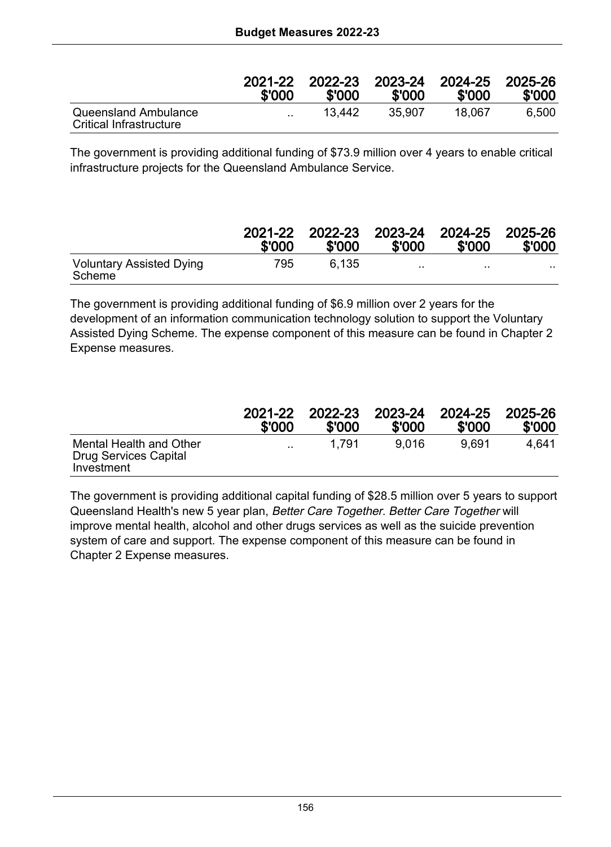|                                                 | 2021-22   | 2022-23 | 2023-24 | 2024-25 | 2025-26 |
|-------------------------------------------------|-----------|---------|---------|---------|---------|
|                                                 | \$'000    | \$'000  | \$'000  | \$'000  | \$'000  |
| Queensland Ambulance<br>Critical Infrastructure | $\cdot$ . | 13.442  | 35.907  | 18.067  | 6.500   |

The government is providing additional funding of \$73.9 million over 4 years to enable critical infrastructure projects for the Queensland Ambulance Service.

|                                           | 2021-22<br>\$'000 | 2022-23<br>\$'000 | 2023-24 2024-25 2025-26<br>\$'000 | \$'000   | \$'000 |
|-------------------------------------------|-------------------|-------------------|-----------------------------------|----------|--------|
| <b>Voluntary Assisted Dying</b><br>Scheme | 795               | 6.135             |                                   | $\cdots$ | . .    |

The government is providing additional funding of \$6.9 million over 2 years for the development of an information communication technology solution to support the Voluntary Assisted Dying Scheme. The expense component of this measure can be found in Chapter 2 Expense measures.

|                                                                | 2021-22   | 2022-23 | 2023-24 | 2024-25 | 2025-26 |
|----------------------------------------------------------------|-----------|---------|---------|---------|---------|
|                                                                | \$'000    | \$'000  | \$'000  | \$'000  | \$'000  |
| Mental Health and Other<br>Drug Services Capital<br>Investment | $\cdot$ . | 1.791   | 9.016   | 9.691   | 4.641   |

The government is providing additional capital funding of \$28.5 million over 5 years to support Queensland Health's new 5 year plan, Better Care Together. Better Care Together will improve mental health, alcohol and other drugs services as well as the suicide prevention system of care and support. The expense component of this measure can be found in Chapter 2 Expense measures.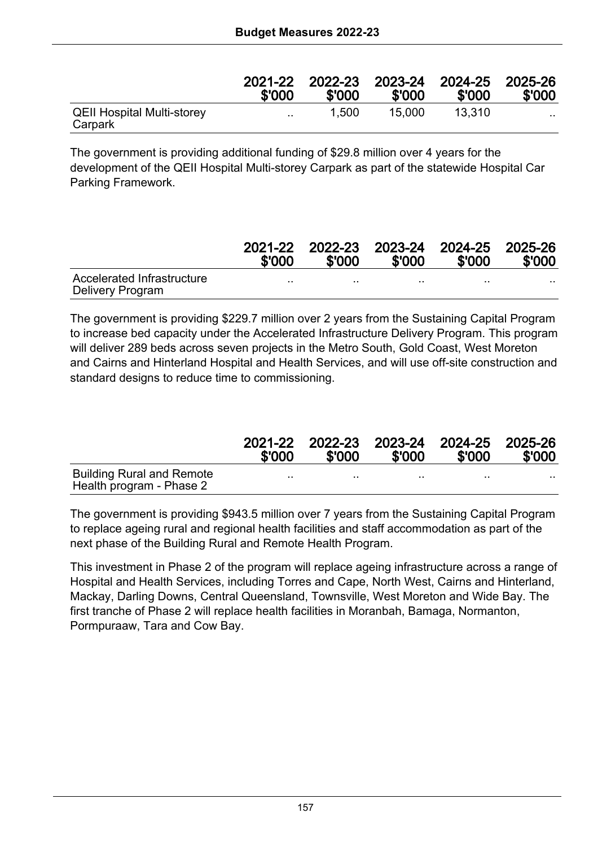|                                              | 2021-22<br>\$'000 | 2022-23<br>\$'000 | \$'000 | 2023-24 2024-25 2025-26<br>\$'000 | \$'000   |
|----------------------------------------------|-------------------|-------------------|--------|-----------------------------------|----------|
| <b>QEII Hospital Multi-storey</b><br>Carpark | $\sim$            | 1.500             | 15.000 | 13.310                            | $\cdots$ |

The government is providing additional funding of \$29.8 million over 4 years for the development of the QEII Hospital Multi-storey Carpark as part of the statewide Hospital Car Parking Framework.

|                                                | 2021-22<br>\$'000 | 2022-23 2023-24 2024-25 2025-26<br>\$'000 | \$'000   | \$'000    | \$'000 |
|------------------------------------------------|-------------------|-------------------------------------------|----------|-----------|--------|
| Accelerated Infrastructure<br>Delivery Program |                   |                                           | $\cdots$ | $\cdot$ . | .      |

The government is providing \$229.7 million over 2 years from the Sustaining Capital Program to increase bed capacity under the Accelerated Infrastructure Delivery Program. This program will deliver 289 beds across seven projects in the Metro South, Gold Coast, West Moreton and Cairns and Hinterland Hospital and Health Services, and will use off-site construction and standard designs to reduce time to commissioning.

|                                                              | 2021-22<br>\$'000 | \$'000 | \$'000 | 2022-23 2023-24 2024-25 2025-26<br>\$'000 | \$'000 |
|--------------------------------------------------------------|-------------------|--------|--------|-------------------------------------------|--------|
| <b>Building Rural and Remote</b><br>Health program - Phase 2 |                   |        |        | $\cdots$                                  | .      |

The government is providing \$943.5 million over 7 years from the Sustaining Capital Program to replace ageing rural and regional health facilities and staff accommodation as part of the next phase of the Building Rural and Remote Health Program.

This investment in Phase 2 of the program will replace ageing infrastructure across a range of Hospital and Health Services, including Torres and Cape, North West, Cairns and Hinterland, Mackay, Darling Downs, Central Queensland, Townsville, West Moreton and Wide Bay. The first tranche of Phase 2 will replace health facilities in Moranbah, Bamaga, Normanton, Pormpuraaw, Tara and Cow Bay.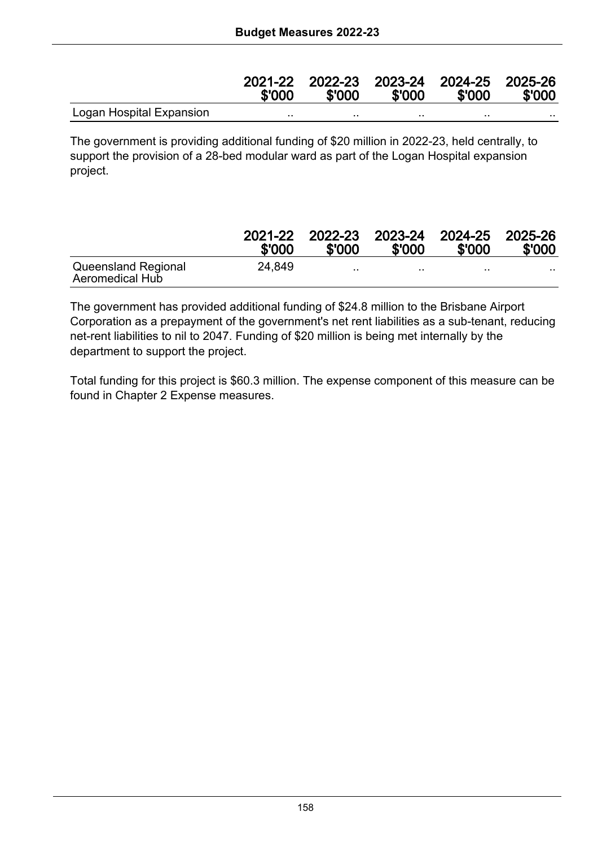|                          | \$'000 | 2021-22 2022-23 2023-24 2024-25 2025-26<br>\$'000 | \$'000 | \$'000 | \$'000 |
|--------------------------|--------|---------------------------------------------------|--------|--------|--------|
| Logan Hospital Expansion |        |                                                   |        |        |        |

The government is providing additional funding of \$20 million in 2022-23, held centrally, to support the provision of a 28-bed modular ward as part of the Logan Hospital expansion project.

|                                               | 2021-22<br>\$'000 | 2022-23<br>\$'000 | \$'000 | 2023-24 2024-25 2025-26<br>\$'000 | \$'000   |
|-----------------------------------------------|-------------------|-------------------|--------|-----------------------------------|----------|
| Queensland Regional<br><b>Aeromedical Hub</b> | 24.849            | $\cdot$           |        | $\cdots$                          | $\cdots$ |

The government has provided additional funding of \$24.8 million to the Brisbane Airport Corporation as a prepayment of the government's net rent liabilities as a sub-tenant, reducing net-rent liabilities to nil to 2047. Funding of \$20 million is being met internally by the department to support the project.

Total funding for this project is \$60.3 million. The expense component of this measure can be found in Chapter 2 Expense measures.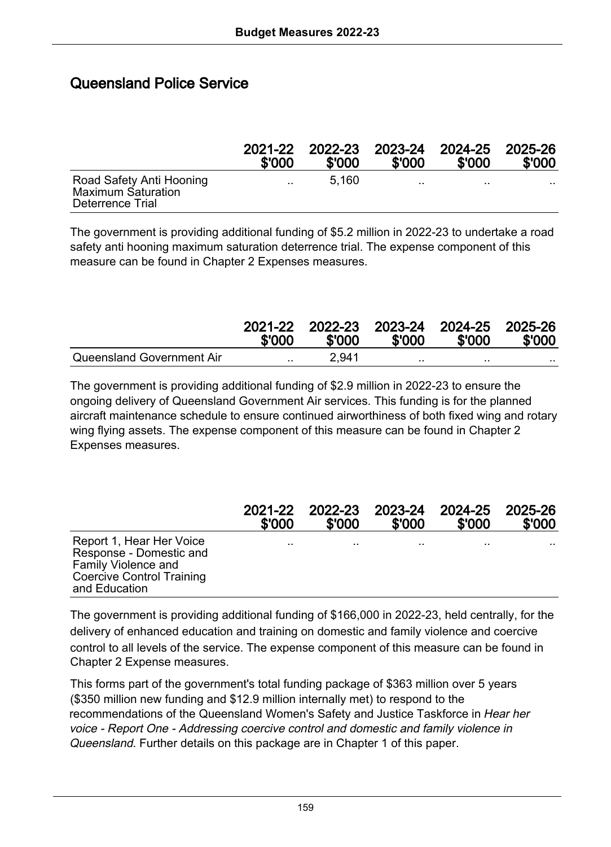#### Queensland Police Service

|                                                                           | 2021-22<br>\$'000 | \$'000 | \$'000    | 2022-23 2023-24 2024-25 2025-26<br>\$'000 | \$'000 |
|---------------------------------------------------------------------------|-------------------|--------|-----------|-------------------------------------------|--------|
| Road Safety Anti Hooning<br><b>Maximum Saturation</b><br>Deterrence Trial | $\ddotsc$         | 5.160  | $\cdot$ . | $\cdots$                                  | . .    |

The government is providing additional funding of \$5.2 million in 2022-23 to undertake a road safety anti hooning maximum saturation deterrence trial. The expense component of this measure can be found in Chapter 2 Expenses measures.

|                           | 2021-22<br>\$'000 | 2022-23 2023-24 2024-25 2025-26<br>\$'000 | \$'000 | \$'000  | \$'000 |
|---------------------------|-------------------|-------------------------------------------|--------|---------|--------|
| Queensland Government Air | $\sim$ $\sim$     | 2.941                                     | . .    | $\cdot$ |        |

The government is providing additional funding of \$2.9 million in 2022-23 to ensure the ongoing delivery of Queensland Government Air services. This funding is for the planned aircraft maintenance schedule to ensure continued airworthiness of both fixed wing and rotary wing flying assets. The expense component of this measure can be found in Chapter 2 Expenses measures.

|                                                                                                                          | 2021-22 | 2022-23 | 2023-24 | 2024-25 | 2025-26 |
|--------------------------------------------------------------------------------------------------------------------------|---------|---------|---------|---------|---------|
|                                                                                                                          | \$'000  | \$'000  | \$'000  | \$'000  | \$'000  |
| Report 1, Hear Her Voice<br>Response - Domestic and<br>Family Violence and<br>Coercive Control Training<br>and Education |         |         |         | $\cdot$ |         |

The government is providing additional funding of \$166,000 in 2022-23, held centrally, for the delivery of enhanced education and training on domestic and family violence and coercive control to all levels of the service. The expense component of this measure can be found in Chapter 2 Expense measures.

This forms part of the government's total funding package of \$363 million over 5 years (\$350 million new funding and \$12.9 million internally met) to respond to the recommendations of the Queensland Women's Safety and Justice Taskforce in Hear her voice - Report One - Addressing coercive control and domestic and family violence in Queensland. Further details on this package are in Chapter 1 of this paper.